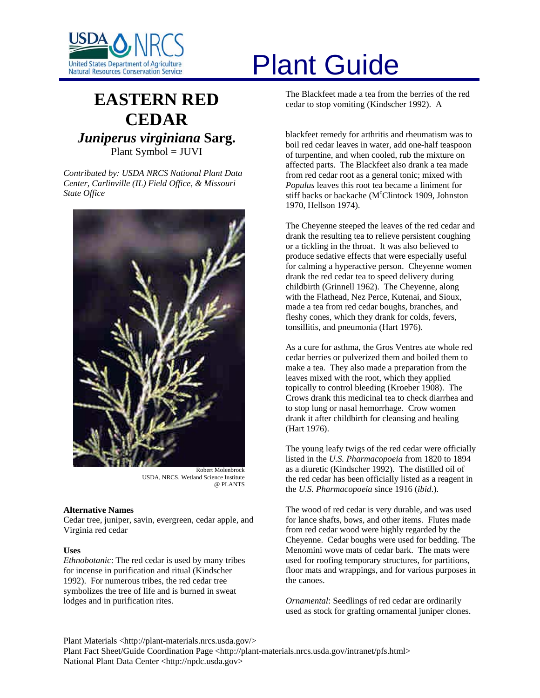

# United States Department of Agriculture<br>Natural Resources Conservation Service

# **EASTERN RED CEDAR** *Juniperus virginiana* **Sarg.** Plant Symbol = JUVI

*Contributed by: USDA NRCS National Plant Data Center, Carlinville (IL) Field Office, & Missouri State Office* 



USDA, NRCS, Wetland Science Institute @ PLANTS

# **Alternative Names**

Cedar tree, juniper, savin, evergreen, cedar apple, and Virginia red cedar

#### **Uses**

*Ethnobotanic*: The red cedar is used by many tribes for incense in purification and ritual (Kindscher 1992). For numerous tribes, the red cedar tree symbolizes the tree of life and is burned in sweat lodges and in purification rites.

The Blackfeet made a tea from the berries of the red cedar to stop vomiting (Kindscher 1992). A

blackfeet remedy for arthritis and rheumatism was to boil red cedar leaves in water, add one-half teaspoon of turpentine, and when cooled, rub the mixture on affected parts. The Blackfeet also drank a tea made from red cedar root as a general tonic; mixed with *Populus* leaves this root tea became a liniment for stiff backs or backache (M<sup>c</sup>Clintock 1909, Johnston 1970, Hellson 1974).

The Cheyenne steeped the leaves of the red cedar and drank the resulting tea to relieve persistent coughing or a tickling in the throat. It was also believed to produce sedative effects that were especially useful for calming a hyperactive person. Cheyenne women drank the red cedar tea to speed delivery during childbirth (Grinnell 1962). The Cheyenne, along with the Flathead, Nez Perce, Kutenai, and Sioux, made a tea from red cedar boughs, branches, and fleshy cones, which they drank for colds, fevers, tonsillitis, and pneumonia (Hart 1976).

As a cure for asthma, the Gros Ventres ate whole red cedar berries or pulverized them and boiled them to make a tea. They also made a preparation from the leaves mixed with the root, which they applied topically to control bleeding (Kroeber 1908). The Crows drank this medicinal tea to check diarrhea and to stop lung or nasal hemorrhage. Crow women drank it after childbirth for cleansing and healing (Hart 1976).

The young leafy twigs of the red cedar were officially listed in the *U.S. Pharmacopoeia* from 1820 to 1894 as a diuretic (Kindscher 1992). The distilled oil of the red cedar has been officially listed as a reagent in the *U.S. Pharmacopoeia* since 1916 (*ibid*.).

The wood of red cedar is very durable, and was used for lance shafts, bows, and other items. Flutes made from red cedar wood were highly regarded by the Cheyenne. Cedar boughs were used for bedding. The Menomini wove mats of cedar bark. The mats were used for roofing temporary structures, for partitions, floor mats and wrappings, and for various purposes in the canoes.

*Ornamental*: Seedlings of red cedar are ordinarily used as stock for grafting ornamental juniper clones.

Plant Materials <http://plant-materials.nrcs.usda.gov/>

Plant Fact Sheet/Guide Coordination Page <http://plant-materials.nrcs.usda.gov/intranet/pfs.html> National Plant Data Center <http://npdc.usda.gov>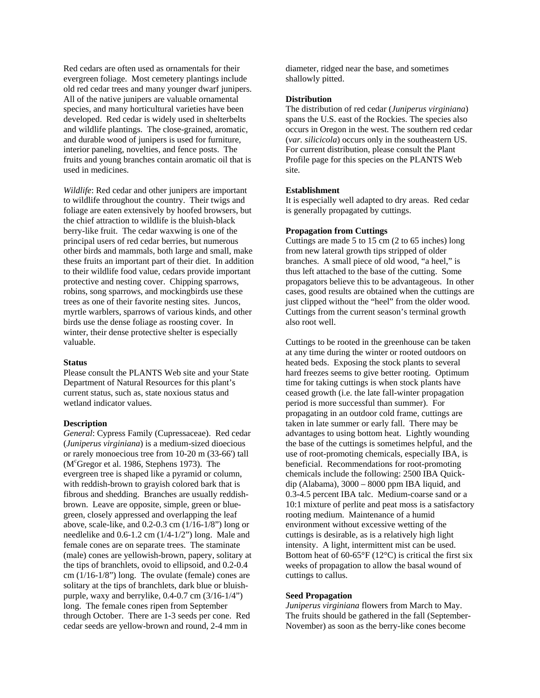Red cedars are often used as ornamentals for their evergreen foliage. Most cemetery plantings include old red cedar trees and many younger dwarf junipers. All of the native junipers are valuable ornamental species, and many horticultural varieties have been developed. Red cedar is widely used in shelterbelts and wildlife plantings. The close-grained, aromatic, and durable wood of junipers is used for furniture, interior paneling, novelties, and fence posts. The fruits and young branches contain aromatic oil that is used in medicines.

*Wildlife*: Red cedar and other junipers are important to wildlife throughout the country. Their twigs and foliage are eaten extensively by hoofed browsers, but the chief attraction to wildlife is the bluish-black berry-like fruit. The cedar waxwing is one of the principal users of red cedar berries, but numerous other birds and mammals, both large and small, make these fruits an important part of their diet. In addition to their wildlife food value, cedars provide important protective and nesting cover. Chipping sparrows, robins, song sparrows, and mockingbirds use these trees as one of their favorite nesting sites. Juncos, myrtle warblers, sparrows of various kinds, and other birds use the dense foliage as roosting cover. In winter, their dense protective shelter is especially valuable.

#### **Status**

Please consult the PLANTS Web site and your State Department of Natural Resources for this plant's current status, such as, state noxious status and wetland indicator values.

#### **Description**

*General*: Cypress Family (Cupressaceae). Red cedar (*Juniperus virginiana*) is a medium-sized dioecious or rarely monoecious tree from 10-20 m (33-66') tall (M<sup>c</sup>Gregor et al. 1986, Stephens 1973). The evergreen tree is shaped like a pyramid or column, with reddish-brown to grayish colored bark that is fibrous and shedding. Branches are usually reddishbrown. Leave are opposite, simple, green or bluegreen, closely appressed and overlapping the leaf above, scale-like, and 0.2-0.3 cm (1/16-1/8") long or needlelike and 0.6-1.2 cm (1/4-1/2") long. Male and female cones are on separate trees. The staminate (male) cones are yellowish-brown, papery, solitary at the tips of branchlets, ovoid to ellipsoid, and 0.2-0.4 cm (1/16-1/8") long. The ovulate (female) cones are solitary at the tips of branchlets, dark blue or bluishpurple, waxy and berrylike, 0.4-0.7 cm (3/16-1/4") long. The female cones ripen from September through October. There are 1-3 seeds per cone. Red cedar seeds are yellow-brown and round, 2-4 mm in

diameter, ridged near the base, and sometimes shallowly pitted.

#### **Distribution**

The distribution of red cedar (*Juniperus virginiana*) spans the U.S. east of the Rockies. The species also occurs in Oregon in the west. The southern red cedar (*var. silicicola*) occurs only in the southeastern US. For current distribution, please consult the Plant Profile page for this species on the PLANTS Web site.

#### **Establishment**

It is especially well adapted to dry areas. Red cedar is generally propagated by cuttings.

#### **Propagation from Cuttings**

Cuttings are made 5 to 15 cm (2 to 65 inches) long from new lateral growth tips stripped of older branches. A small piece of old wood, "a heel," is thus left attached to the base of the cutting. Some propagators believe this to be advantageous. In other cases, good results are obtained when the cuttings are just clipped without the "heel" from the older wood. Cuttings from the current season's terminal growth also root well.

Cuttings to be rooted in the greenhouse can be taken at any time during the winter or rooted outdoors on heated beds. Exposing the stock plants to several hard freezes seems to give better rooting. Optimum time for taking cuttings is when stock plants have ceased growth (i.e. the late fall-winter propagation period is more successful than summer). For propagating in an outdoor cold frame, cuttings are taken in late summer or early fall. There may be advantages to using bottom heat. Lightly wounding the base of the cuttings is sometimes helpful, and the use of root-promoting chemicals, especially IBA, is beneficial. Recommendations for root-promoting chemicals include the following: 2500 IBA Quickdip (Alabama), 3000 – 8000 ppm IBA liquid, and 0.3-4.5 percent IBA talc. Medium-coarse sand or a 10:1 mixture of perlite and peat moss is a satisfactory rooting medium. Maintenance of a humid environment without excessive wetting of the cuttings is desirable, as is a relatively high light intensity. A light, intermittent mist can be used. Bottom heat of  $60-65^{\circ}F(12^{\circ}C)$  is critical the first six weeks of propagation to allow the basal wound of cuttings to callus.

## **Seed Propagation**

*Juniperus virginiana* flowers from March to May. The fruits should be gathered in the fall (September-November) as soon as the berry-like cones become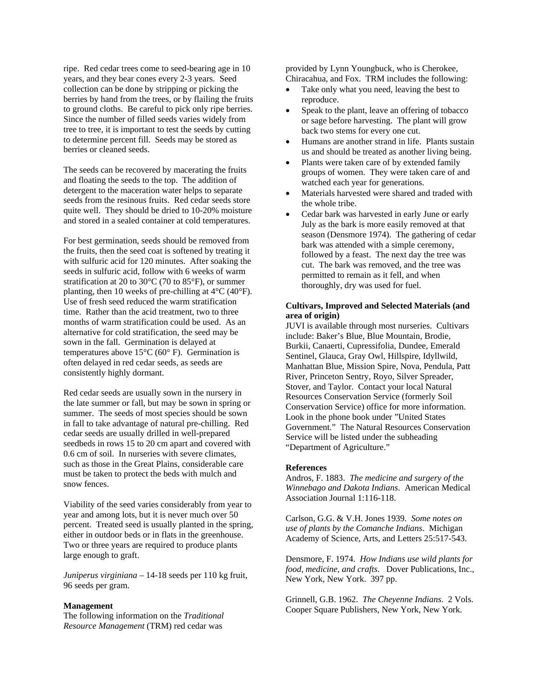ripe. Red cedar trees come to seed-bearing age in 10 years, and they bear cones every 2-3 years. Seed collection can be done by stripping or picking the berries by hand from the trees, or by flailing the fruits to ground cloths. Be careful to pick only ripe berries. Since the number of filled seeds varies widely from tree to tree, it is important to test the seeds by cutting to determine percent fill. Seeds may be stored as berries or cleaned seeds.

The seeds can be recovered by macerating the fruits and floating the seeds to the top. The addition of detergent to the maceration water helps to separate seeds from the resinous fruits. Red cedar seeds store quite well. They should be dried to 10-20% moisture and stored in a sealed container at cold temperatures.

For best germination, seeds should be removed from the fruits, then the seed coat is softened by treating it with sulfuric acid for 120 minutes. After soaking the seeds in sulfuric acid, follow with 6 weeks of warm stratification at 20 to 30°C (70 to 85°F), or summer planting, then 10 weeks of pre-chilling at  $4^{\circ}$ C ( $40^{\circ}$ F). Use of fresh seed reduced the warm stratification time. Rather than the acid treatment, two to three months of warm stratification could be used. As an alternative for cold stratification, the seed may be sown in the fall. Germination is delayed at temperatures above 15°C (60° F). Germination is often delayed in red cedar seeds, as seeds are consistently highly dormant.

Red cedar seeds are usually sown in the nursery in the late summer or fall, but may be sown in spring or summer. The seeds of most species should be sown in fall to take advantage of natural pre-chilling. Red cedar seeds are usually drilled in well-prepared seedbeds in rows 15 to 20 cm apart and covered with 0.6 cm of soil. In nurseries with severe climates, such as those in the Great Plains, considerable care must be taken to protect the beds with mulch and snow fences.

Viability of the seed varies considerably from year to year and among lots, but it is never much over 50 percent. Treated seed is usually planted in the spring, either in outdoor beds or in flats in the greenhouse. Two or three years are required to produce plants large enough to graft.

*Juniperus virginiana* – 14-18 seeds per 110 kg fruit, 96 seeds per gram.

# **Management**

The following information on the *Traditional Resource Management* (TRM) red cedar was

provided by Lynn Youngbuck, who is Cherokee, Chiracahua, and Fox. TRM includes the following:

- Take only what you need, leaving the best to reproduce.
- Speak to the plant, leave an offering of tobacco or sage before harvesting. The plant will grow back two stems for every one cut.
- Humans are another strand in life. Plants sustain us and should be treated as another living being.
- Plants were taken care of by extended family groups of women. They were taken care of and watched each year for generations.
- Materials harvested were shared and traded with the whole tribe.
- Cedar bark was harvested in early June or early July as the bark is more easily removed at that season (Densmore 1974). The gathering of cedar bark was attended with a simple ceremony, followed by a feast. The next day the tree was cut. The bark was removed, and the tree was permitted to remain as it fell, and when thoroughly, dry was used for fuel.

# **Cultivars, Improved and Selected Materials (and area of origin)**

JUVI is available through most nurseries. Cultivars include: Baker's Blue, Blue Mountain, Brodie, Burkii, Canaerti, Cupressifolia, Dundee, Emerald Sentinel, Glauca, Gray Owl, Hillspire, Idyllwild, Manhattan Blue, Mission Spire, Nova, Pendula, Patt River, Princeton Sentry, Royo, Silver Spreader, Stover, and Taylor. Contact your local Natural Resources Conservation Service (formerly Soil Conservation Service) office for more information. Look in the phone book under "United States Government." The Natural Resources Conservation Service will be listed under the subheading "Department of Agriculture."

#### **References**

Andros, F. 1883. *The medicine and surgery of the Winnebago and Dakota Indians*. American Medical Association Journal 1:116-118.

Carlson, G.G. & V.H. Jones 1939*. Some notes on use of plants by the Comanche Indians*. Michigan Academy of Science, Arts, and Letters 25:517-543.

Densmore, F. 1974. *How Indians use wild plants for food, medicine, and crafts*. Dover Publications, Inc., New York, New York. 397 pp.

Grinnell, G.B. 1962. *The Cheyenne Indians*. 2 Vols. Cooper Square Publishers, New York, New York.